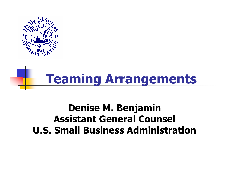

# **Teaming Arrangements**

#### **Denise M. Benjamin Assistant General Counsel U.S. Small Business Administration**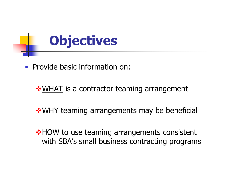## **Objectives**

**Provide basic information on:** 

**\* WHAT** is a contractor teaming arrangement

**WHY teaming arrangements may be beneficial** 

**\*HOW** to use teaming arrangements consistent with SBA's small business contracting programs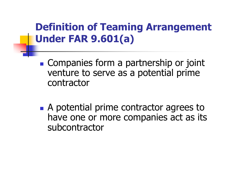#### **Definition of Teaming Arrangement Under FAR 9.601(a)**

- **Companies form a partnership or joint** venture to serve as <sup>a</sup> potential prime contractor
- **A** potential prime contractor agrees to have one or more companies act as its subcontractor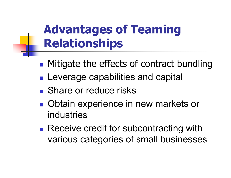### **Advantages of Teaming Relationships**

- **Mitigate the effects of contract bundling**
- **Service Service Leverage capabilities and capital**
- **Share or reduce risks**
- Obtain experience in new markets or industries
- **Service Service** ■ Receive credit for subcontracting with various categories of small businesses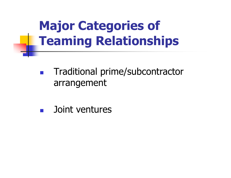## **Major Categories of Teaming Relationships**

- $\left\vert \begin{array}{c} 0 \\ 0 \end{array} \right\vert$  Traditional prime/subcontractor arrangement
- **Service Service** Joint ventures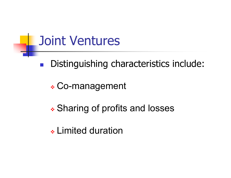#### Joint Ventures

Distinguishing characteristics include:

- Co-management

- Sharing of profits and losses

- Limited duration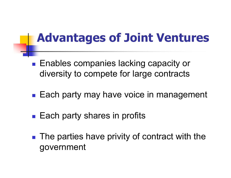#### **Advantages of Joint Ventures**

- Enables companies lacking capacity or diversity to compete for large contracts
- Each party may have voice in management
- $\mathcal{L}_{\text{max}}$ Each party shares in profits
- The parties have privity of contract with the government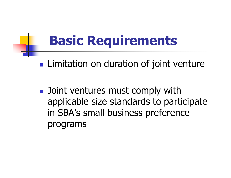## **Basic Requirements**

**Limitation on duration of joint venture** 

**Desimal Joint ventures must comply with** applicable size standards to participate in SBA's small business preference programs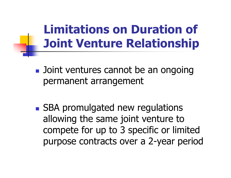#### **Limitations on Duration of Joint Venture Relationship**

- **Diangle 10 Joint ventures cannot be an ongoing** permanent arrangement
- **SBA promulgated new regulations** allowing the same joint venture to compete for up to 3 specific or limited purpose contracts over <sup>a</sup> 2-year period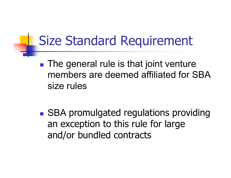## Size Standard Requirement

- **Service Service The general rule is that joint venture** members are deemed affiliated for SBAsize rules
- **SBA promulgated regulations providing** an exception to this rule for large and/or bundled contracts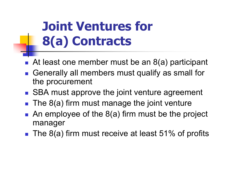## **Joint Ventures for 8(a) Contracts**

- At least one member must be an 8(a) participant
- Generally all members must qualify as small for the procurement
- SBA must approve the joint venture agreement
- T. The 8(a) firm must manage the joint venture
- **An employee of the 8(a) firm must be the project** manager
- $\blacksquare$  The 8(a) firm must receive at least 51% of profits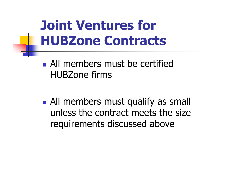## **Joint Ventures for HUBZone Contracts**

**All members must be certified** HUBZone firms

**All members must qualify as small** unless the contract meets the size requirements discussed above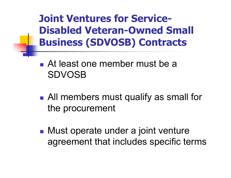**Joint Ventures for Service-Disabled Veteran-Owned Small Business (SDVOSB) Contracts**

- At least one member must be a SDVOSB
- **Service Service** ■ All members must qualify as small for the procurement
- **Service Service** ■ Must operate under a joint venture agreement that includes specific terms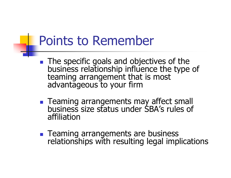### Points to Remember

- P. The specific goals and objectives of the business relationship influence the type of teaming arrangement that is most advantageous to your firm
- **E** Teaming arrangements may affect small Teaming arrangements may affect small business size status under SBA's rules of affiliation
- **Teaming arrangements are business** relationships with resulting legal implications